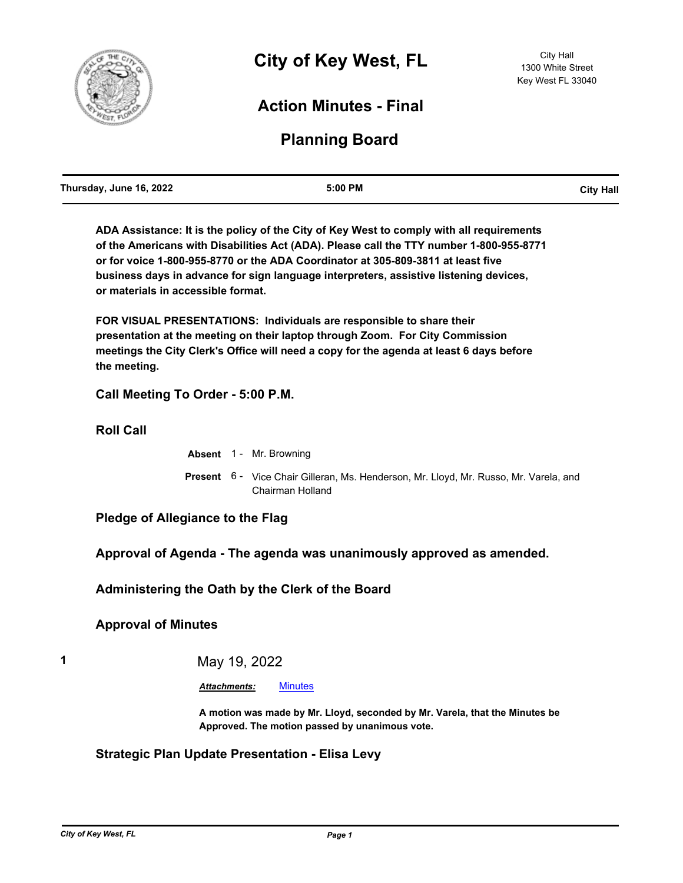

# **Action Minutes - Final**

# **Planning Board**

| Thursday, June 16, 2022 | 5:00 PM | <b>City Hall</b> |
|-------------------------|---------|------------------|
|                         |         |                  |

**ADA Assistance: It is the policy of the City of Key West to comply with all requirements of the Americans with Disabilities Act (ADA). Please call the TTY number 1-800-955-8771 or for voice 1-800-955-8770 or the ADA Coordinator at 305-809-3811 at least five business days in advance for sign language interpreters, assistive listening devices, or materials in accessible format.**

**FOR VISUAL PRESENTATIONS: Individuals are responsible to share their presentation at the meeting on their laptop through Zoom. For City Commission meetings the City Clerk's Office will need a copy for the agenda at least 6 days before the meeting.**

**Call Meeting To Order - 5:00 P.M.**

**Roll Call**

**Absent** 1 - Mr. Browning

Present 6 - Vice Chair Gilleran, Ms. Henderson, Mr. Lloyd, Mr. Russo, Mr. Varela, and Chairman Holland

**Pledge of Allegiance to the Flag**

**Approval of Agenda - The agenda was unanimously approved as amended.**

**Administering the Oath by the Clerk of the Board**

**Approval of Minutes**

**1** May 19, 2022

*Attachments:* [Minutes](http://KeyWest.legistar.com/gateway.aspx?M=F&ID=95c61fd6-cab8-4d03-a93e-bacc000a7aef.pdf)

**A motion was made by Mr. Lloyd, seconded by Mr. Varela, that the Minutes be Approved. The motion passed by unanimous vote.**

#### **Strategic Plan Update Presentation - Elisa Levy**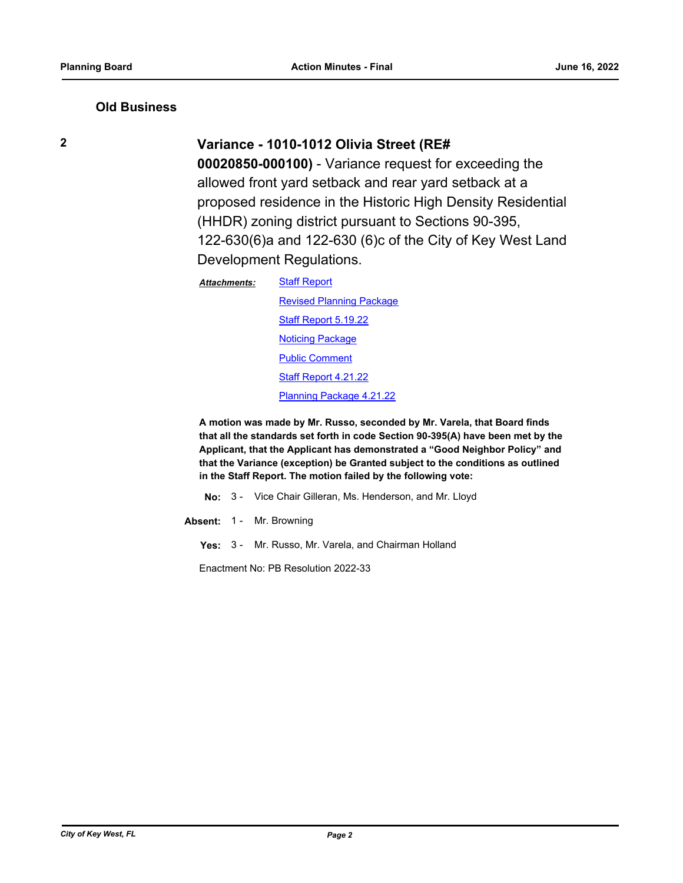#### **Old Business**

# **2 Variance - 1010-1012 Olivia Street (RE#**

**00020850-000100)** - Variance request for exceeding the allowed front yard setback and rear yard setback at a proposed residence in the Historic High Density Residential (HHDR) zoning district pursuant to Sections 90-395, 122-630(6)a and 122-630 (6)c of the City of Key West Land Development Regulations.

| <b>Staff Report</b>             |
|---------------------------------|
| <b>Revised Planning Package</b> |
| Staff Report 5.19.22            |
| <b>Noticing Package</b>         |
| <b>Public Comment</b>           |
| Staff Report 4.21.22            |
| Planning Package 4.21.22        |
|                                 |

**A motion was made by Mr. Russo, seconded by Mr. Varela, that Board finds that all the standards set forth in code Section 90-395(A) have been met by the Applicant, that the Applicant has demonstrated a "Good Neighbor Policy" and that the Variance (exception) be Granted subject to the conditions as outlined in the Staff Report. The motion failed by the following vote:**

**No:** 3 - Vice Chair Gilleran, Ms. Henderson, and Mr. Lloyd

**Absent:** 1 - Mr. Browning

**Yes:** 3 - Mr. Russo, Mr. Varela, and Chairman Holland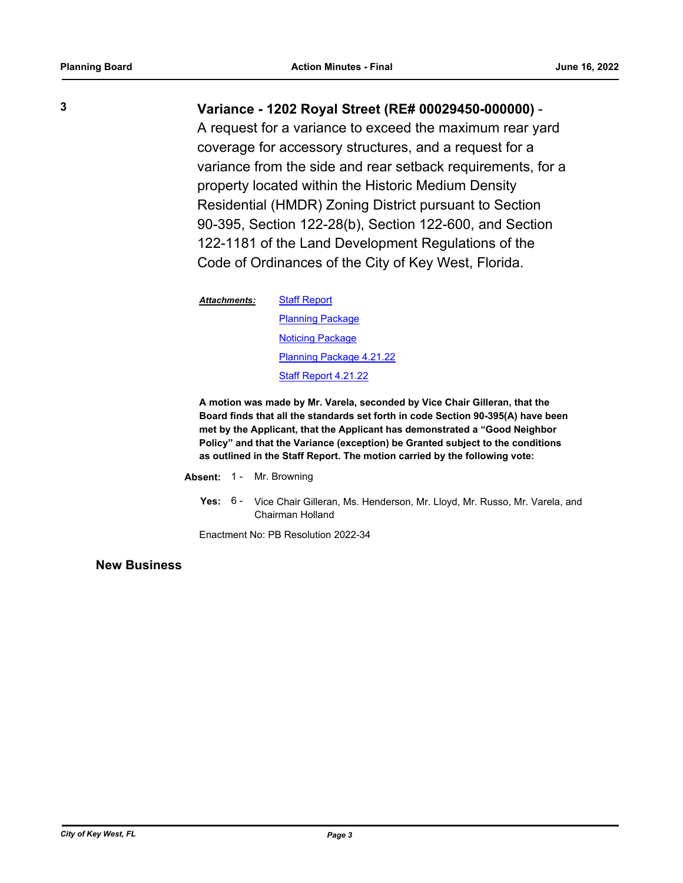# **3 Variance - 1202 Royal Street (RE# 00029450-000000)** -

A request for a variance to exceed the maximum rear yard coverage for accessory structures, and a request for a variance from the side and rear setback requirements, for a property located within the Historic Medium Density Residential (HMDR) Zoning District pursuant to Section 90-395, Section 122-28(b), Section 122-600, and Section 122-1181 of the Land Development Regulations of the Code of Ordinances of the City of Key West, Florida.

**[Staff Report](http://KeyWest.legistar.com/gateway.aspx?M=F&ID=e0ed7dc1-6c5c-40d1-9fb1-12066915665f.pdf) [Planning Package](http://KeyWest.legistar.com/gateway.aspx?M=F&ID=35f20f9e-639b-4acb-8b11-f6f0c1f17143.pdf)** [Noticing Package](http://KeyWest.legistar.com/gateway.aspx?M=F&ID=4bc3e4e2-a546-4895-97cc-81ecf0c99e0d.pdf) [Planning Package 4.21.22](http://KeyWest.legistar.com/gateway.aspx?M=F&ID=5d50f65c-539e-4540-a115-a521e7ebc6d7.pdf) [Staff Report 4.21.22](http://KeyWest.legistar.com/gateway.aspx?M=F&ID=81bccd40-e754-42f2-aa42-e18332e6626f.pdf) *Attachments:*

**A motion was made by Mr. Varela, seconded by Vice Chair Gilleran, that the Board finds that all the standards set forth in code Section 90-395(A) have been met by the Applicant, that the Applicant has demonstrated a "Good Neighbor Policy" and that the Variance (exception) be Granted subject to the conditions as outlined in the Staff Report. The motion carried by the following vote:**

- **Absent:** 1 Mr. Browning
	- Yes: 6 Vice Chair Gilleran, Ms. Henderson, Mr. Lloyd, Mr. Russo, Mr. Varela, and Chairman Holland

Enactment No: PB Resolution 2022-34

**New Business**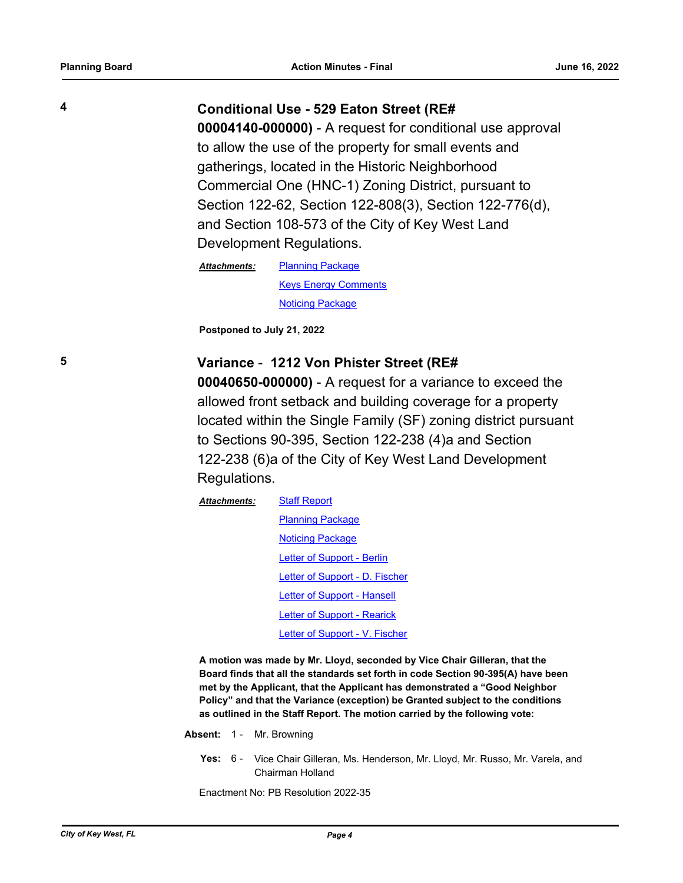#### **4 Conditional Use - 529 Eaton Street (RE#**

**00004140-000000)** - A request for conditional use approval to allow the use of the property for small events and gatherings, located in the Historic Neighborhood Commercial One (HNC-1) Zoning District, pursuant to Section 122-62, Section 122-808(3), Section 122-776(d), and Section 108-573 of the City of Key West Land Development Regulations.

[Planning Package](http://KeyWest.legistar.com/gateway.aspx?M=F&ID=1b286461-f207-4ea1-82a2-e906443f073e.pdf) [Keys Energy Comments](http://KeyWest.legistar.com/gateway.aspx?M=F&ID=8ffa1925-1194-4f51-88e8-e860bdaa3d08.pdf) [Noticing Package](http://KeyWest.legistar.com/gateway.aspx?M=F&ID=e008ee2e-2c9f-480f-9daf-d140356dbd1b.pdf) *Attachments:*

**Postponed to July 21, 2022**

### **5 Variance** - **1212 Von Phister Street (RE#**

**00040650-000000)** - A request for a variance to exceed the allowed front setback and building coverage for a property located within the Single Family (SF) zoning district pursuant to Sections 90-395, Section 122-238 (4)a and Section 122-238 (6)a of the City of Key West Land Development Regulations.

[Staff Report](http://KeyWest.legistar.com/gateway.aspx?M=F&ID=ace25b21-88c0-444f-aa3f-3c97d52546e0.pdf) **[Planning Package](http://KeyWest.legistar.com/gateway.aspx?M=F&ID=0de7ede9-3125-4632-a472-d93a7c06341d.pdf)** [Noticing Package](http://KeyWest.legistar.com/gateway.aspx?M=F&ID=f7356692-0550-4619-a80d-e9ceec39f475.pdf) [Letter of Support - Berlin](http://KeyWest.legistar.com/gateway.aspx?M=F&ID=debc4dde-24bf-482d-98f1-b35ed0b950f1.pdf) [Letter of Support - D. Fischer](http://KeyWest.legistar.com/gateway.aspx?M=F&ID=2b4a08db-0511-4351-804e-f567a02b1990.pdf) [Letter of Support - Hansell](http://KeyWest.legistar.com/gateway.aspx?M=F&ID=3a02f639-9b3c-4446-b4f9-263cb1eeb3fc.pdf) [Letter of Support - Rearick](http://KeyWest.legistar.com/gateway.aspx?M=F&ID=bc87f298-a78f-4d12-9740-4e40f1d2a1f9.pdf) [Letter of Support - V. Fischer](http://KeyWest.legistar.com/gateway.aspx?M=F&ID=c7423eae-24bf-4130-8289-8df344e6aa87.pdf) *Attachments:*

**A motion was made by Mr. Lloyd, seconded by Vice Chair Gilleran, that the Board finds that all the standards set forth in code Section 90-395(A) have been met by the Applicant, that the Applicant has demonstrated a "Good Neighbor Policy" and that the Variance (exception) be Granted subject to the conditions as outlined in the Staff Report. The motion carried by the following vote:**

- **Absent:** 1 Mr. Browning
	- Yes: 6 Vice Chair Gilleran, Ms. Henderson, Mr. Lloyd, Mr. Russo, Mr. Varela, and Chairman Holland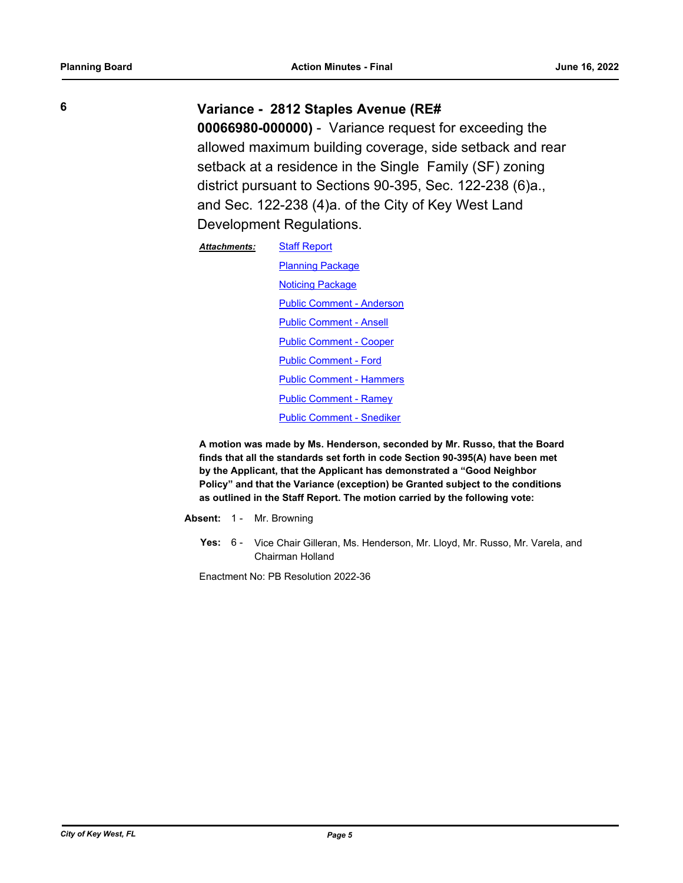**6 Variance - 2812 Staples Avenue (RE#** 

**00066980-000000)** - Variance request for exceeding the allowed maximum building coverage, side setback and rear setback at a residence in the Single Family (SF) zoning district pursuant to Sections 90-395, Sec. 122-238 (6)a., and Sec. 122-238 (4)a. of the City of Key West Land Development Regulations.

| <b>Attachments:</b> | <b>Staff Report</b>              |
|---------------------|----------------------------------|
|                     | <b>Planning Package</b>          |
|                     | <b>Noticing Package</b>          |
|                     | <b>Public Comment - Anderson</b> |
|                     | <b>Public Comment - Ansell</b>   |
|                     | <b>Public Comment - Cooper</b>   |
|                     | <b>Public Comment - Ford</b>     |
|                     | <b>Public Comment - Hammers</b>  |
|                     | <b>Public Comment - Ramey</b>    |
|                     | <b>Public Comment - Snediker</b> |

**A motion was made by Ms. Henderson, seconded by Mr. Russo, that the Board finds that all the standards set forth in code Section 90-395(A) have been met by the Applicant, that the Applicant has demonstrated a "Good Neighbor Policy" and that the Variance (exception) be Granted subject to the conditions as outlined in the Staff Report. The motion carried by the following vote:**

**Absent:** 1 - Mr. Browning

Yes: 6 - Vice Chair Gilleran, Ms. Henderson, Mr. Lloyd, Mr. Russo, Mr. Varela, and Chairman Holland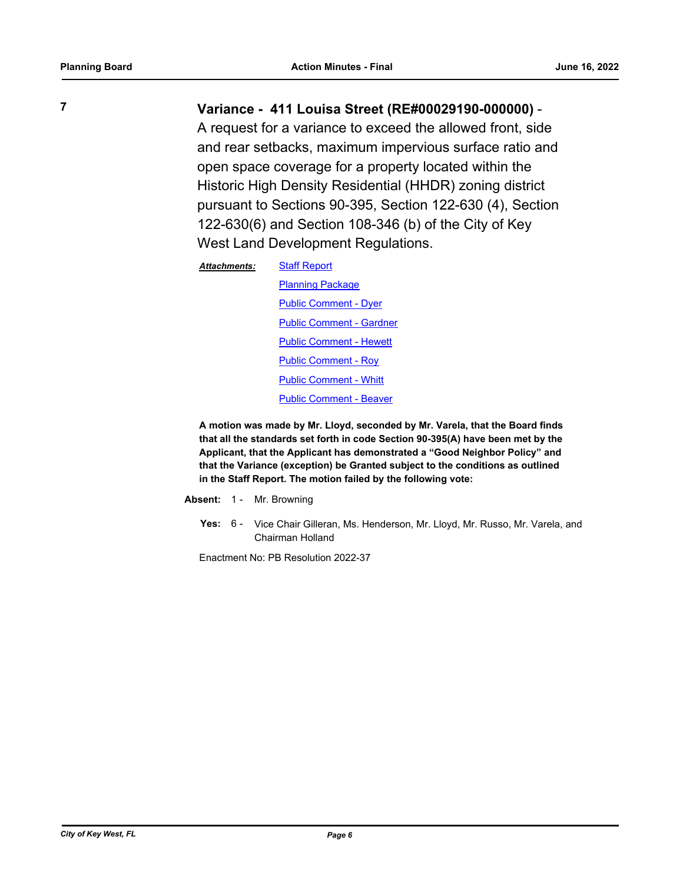# **7 Variance - 411 Louisa Street (RE#00029190-000000)** -

A request for a variance to exceed the allowed front, side and rear setbacks, maximum impervious surface ratio and open space coverage for a property located within the Historic High Density Residential (HHDR) zoning district pursuant to Sections 90-395, Section 122-630 (4), Section 122-630(6) and Section 108-346 (b) of the City of Key West Land Development Regulations.

| <b>Attachments:</b> | <b>Staff Report</b>             |
|---------------------|---------------------------------|
|                     | <b>Planning Package</b>         |
|                     | <b>Public Comment - Dyer</b>    |
|                     | <b>Public Comment - Gardner</b> |
|                     | <b>Public Comment - Hewett</b>  |
|                     | <b>Public Comment - Roy</b>     |
|                     | <b>Public Comment - Whitt</b>   |
|                     | <b>Public Comment - Beaver</b>  |
|                     |                                 |

**A motion was made by Mr. Lloyd, seconded by Mr. Varela, that the Board finds that all the standards set forth in code Section 90-395(A) have been met by the Applicant, that the Applicant has demonstrated a "Good Neighbor Policy" and that the Variance (exception) be Granted subject to the conditions as outlined in the Staff Report. The motion failed by the following vote:**

- **Absent:** 1 Mr. Browning
	- Yes: 6 Vice Chair Gilleran, Ms. Henderson, Mr. Lloyd, Mr. Russo, Mr. Varela, and Chairman Holland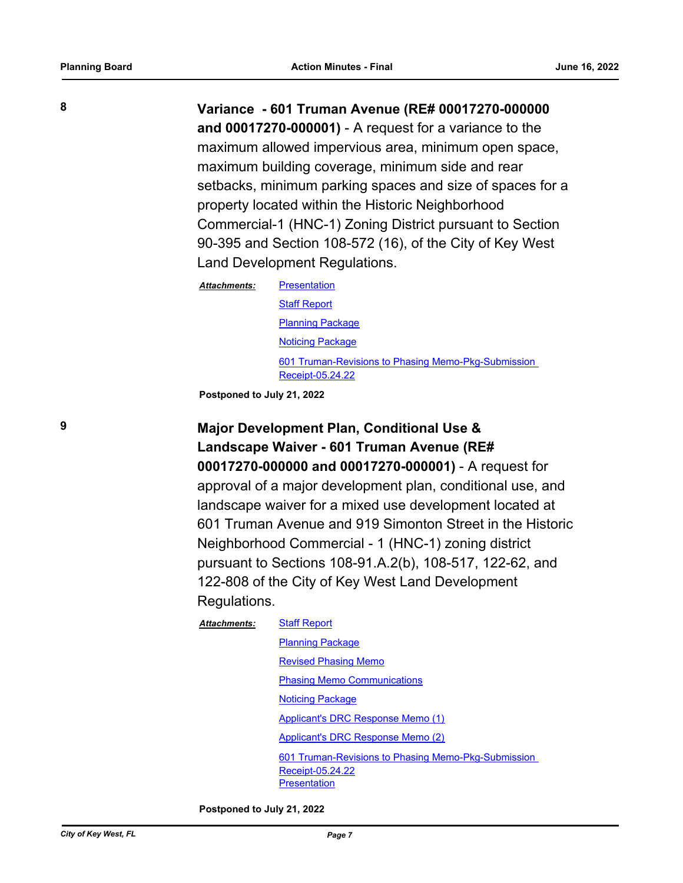**8 Variance - 601 Truman Avenue (RE# 00017270-000000 and 00017270-000001)** - A request for a variance to the maximum allowed impervious area, minimum open space, maximum building coverage, minimum side and rear setbacks, minimum parking spaces and size of spaces for a property located within the Historic Neighborhood Commercial-1 (HNC-1) Zoning District pursuant to Section 90-395 and Section 108-572 (16), of the City of Key West Land Development Regulations.

| <b>Attachments:</b> | <b>Presentation</b>                                                     |
|---------------------|-------------------------------------------------------------------------|
|                     | <b>Staff Report</b>                                                     |
|                     | <b>Planning Package</b>                                                 |
|                     | <b>Noticing Package</b>                                                 |
|                     | 601 Truman-Revisions to Phasing Memo-Pkg-Submission<br>Receipt-05.24.22 |

**Postponed to July 21, 2022**

**9 Major Development Plan, Conditional Use & Landscape Waiver - 601 Truman Avenue (RE# 00017270-000000 and 00017270-000001)** - A request for approval of a major development plan, conditional use, and landscape waiver for a mixed use development located at 601 Truman Avenue and 919 Simonton Street in the Historic Neighborhood Commercial - 1 (HNC-1) zoning district pursuant to Sections 108-91.A.2(b), 108-517, 122-62, and 122-808 of the City of Key West Land Development Regulations.

#### [Staff Report](http://KeyWest.legistar.com/gateway.aspx?M=F&ID=861c9097-ca0b-45fb-ba1f-0773568c2a8c.pdf) *Attachments:*

[Planning Package](http://KeyWest.legistar.com/gateway.aspx?M=F&ID=e86361d6-ceca-47a1-ae36-e5d2fa6af278.pdf) [Revised Phasing Memo](http://KeyWest.legistar.com/gateway.aspx?M=F&ID=a9b89d8c-44ea-48fc-bfec-c5abd1067927.pdf) [Phasing Memo Communications](http://KeyWest.legistar.com/gateway.aspx?M=F&ID=14be0c9b-d249-40ed-aab8-b0c4a2f6357f.msg) [Noticing Package](http://KeyWest.legistar.com/gateway.aspx?M=F&ID=164392f3-268d-4ca3-88ce-1ffca1e81c28.pdf) [Applicant's DRC Response Memo \(1\)](http://KeyWest.legistar.com/gateway.aspx?M=F&ID=f23528bb-ef91-4713-af7d-b6c1eb3b1467.pdf) [Applicant's DRC Response Memo \(2\)](http://KeyWest.legistar.com/gateway.aspx?M=F&ID=f2c5c305-82b3-4340-ba25-165fa1544357.pdf) [601 Truman-Revisions to Phasing Memo-Pkg-Submission](http://KeyWest.legistar.com/gateway.aspx?M=F&ID=ed1c4496-7ddc-4312-9f67-878056af1f5e.pdf)  Receipt-05.24.22 **[Presentation](http://KeyWest.legistar.com/gateway.aspx?M=F&ID=98cc1e6c-7665-4a07-bc06-155293d367d0.pdf)** 

**Postponed to July 21, 2022**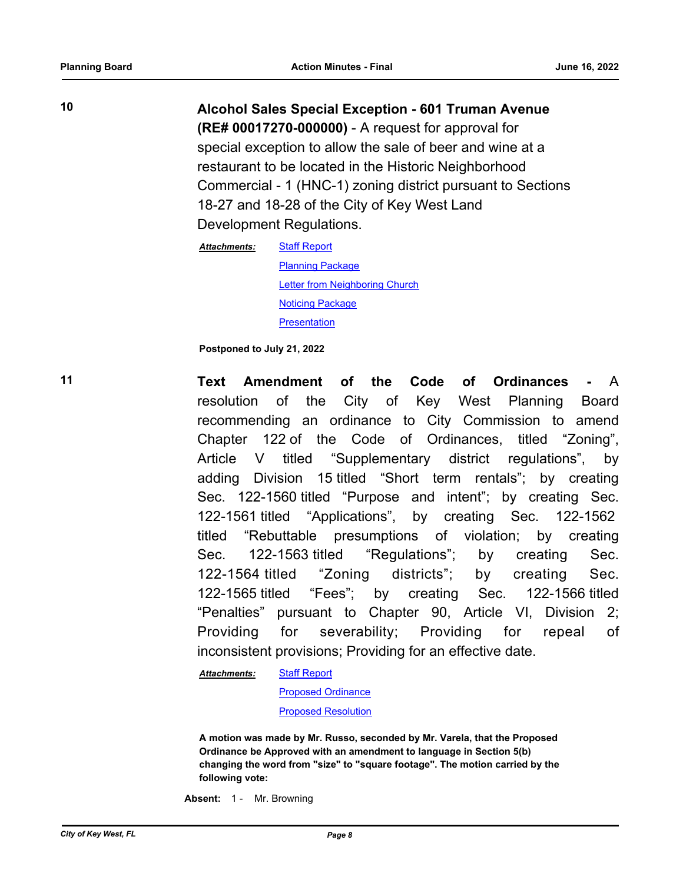**10 Alcohol Sales Special Exception - 601 Truman Avenue (RE# 00017270-000000)** - A request for approval for special exception to allow the sale of beer and wine at a restaurant to be located in the Historic Neighborhood Commercial - 1 (HNC-1) zoning district pursuant to Sections 18-27 and 18-28 of the City of Key West Land Development Regulations.

> [Staff Report](http://KeyWest.legistar.com/gateway.aspx?M=F&ID=d5926bd9-7f94-41a2-a6df-8029d284b9be.pdf) [Planning Package](http://KeyWest.legistar.com/gateway.aspx?M=F&ID=7cfd9fb2-3cba-44ca-8bfb-80b81124c5ac.pdf) **[Letter from Neighboring Church](http://KeyWest.legistar.com/gateway.aspx?M=F&ID=312648d0-eaa8-4c87-b1bf-f9b589fb1a99.pdf)** [Noticing Package](http://KeyWest.legistar.com/gateway.aspx?M=F&ID=39461471-3092-4be4-be8b-634cac3edc1b.pdf) **[Presentation](http://KeyWest.legistar.com/gateway.aspx?M=F&ID=85764787-837c-446f-9a01-a583bdb8707a.pdf)** *Attachments:*

**Postponed to July 21, 2022**

**11 Text Amendment of the Code of Ordinances -** A resolution of the City of Key West Planning Board recommending an ordinance to City Commission to amend Chapter 122 of the Code of Ordinances, titled "Zoning", Article V titled "Supplementary district regulations", by adding Division 15 titled "Short term rentals"; by creating Sec. 122-1560 titled "Purpose and intent"; by creating Sec. 122-1561 titled "Applications", by creating Sec. 122-1562 titled "Rebuttable presumptions of violation; by creating Sec. 122-1563 titled "Regulations"; by creating Sec. 122-1564 titled "Zoning districts"; by creating Sec. 122-1565 titled "Fees"; by creating Sec. 122-1566 titled "Penalties" pursuant to Chapter 90, Article VI, Division 2; Providing for severability; Providing for repeal of inconsistent provisions; Providing for an effective date.

> [Staff Report](http://KeyWest.legistar.com/gateway.aspx?M=F&ID=72d00548-86e8-4d3e-a864-1a70b395e5e9.pdf) *Attachments:*

[Proposed Ordinance](http://KeyWest.legistar.com/gateway.aspx?M=F&ID=6d26889b-e98d-4414-8112-88cebc92d9ae.pdf)

[Proposed Resolution](http://KeyWest.legistar.com/gateway.aspx?M=F&ID=fda842ed-fc75-411d-b3c6-0ce63053b03a.pdf)

**A motion was made by Mr. Russo, seconded by Mr. Varela, that the Proposed Ordinance be Approved with an amendment to language in Section 5(b) changing the word from "size" to "square footage". The motion carried by the following vote:**

**Absent:** 1 - Mr. Browning